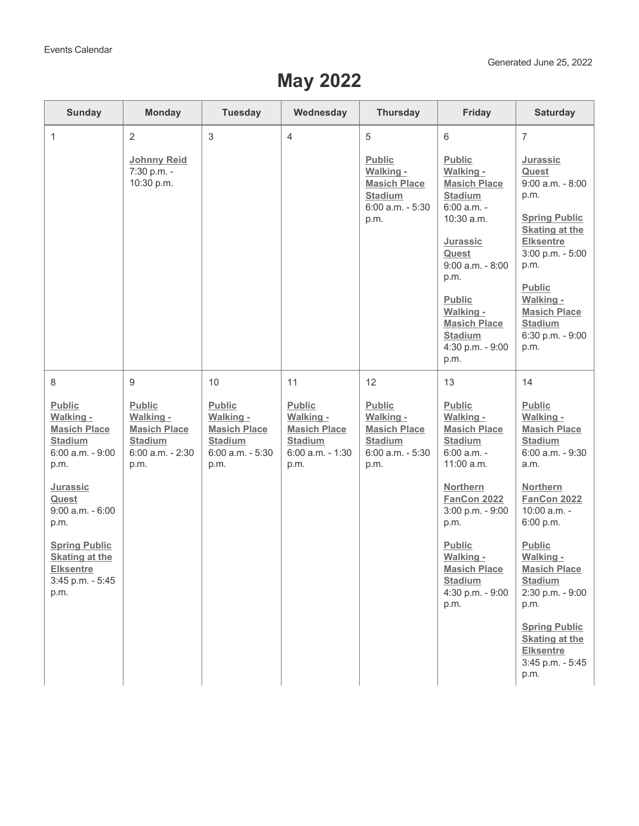## **May 2022**

| <b>Sunday</b>                                                                                                                                                                                                                                 | <b>Monday</b>                                                                                   | <b>Tuesday</b>                                                                                  | Wednesday                                                                                | <b>Thursday</b>                                                                                 | Friday                                                                                                                                                                                                                                             | <b>Saturday</b>                                                                                                                                                                                                                                      |
|-----------------------------------------------------------------------------------------------------------------------------------------------------------------------------------------------------------------------------------------------|-------------------------------------------------------------------------------------------------|-------------------------------------------------------------------------------------------------|------------------------------------------------------------------------------------------|-------------------------------------------------------------------------------------------------|----------------------------------------------------------------------------------------------------------------------------------------------------------------------------------------------------------------------------------------------------|------------------------------------------------------------------------------------------------------------------------------------------------------------------------------------------------------------------------------------------------------|
| $\mathbf{1}$                                                                                                                                                                                                                                  | $\overline{2}$                                                                                  | $\mathfrak{S}$                                                                                  | 4                                                                                        | 5                                                                                               | 6                                                                                                                                                                                                                                                  | $\overline{7}$                                                                                                                                                                                                                                       |
|                                                                                                                                                                                                                                               | <b>Johnny Reid</b><br>7:30 p.m. -<br>10:30 p.m.                                                 |                                                                                                 |                                                                                          | <b>Public</b><br>Walking -<br><b>Masich Place</b><br><b>Stadium</b><br>6:00 a.m. - 5:30<br>p.m. | Public<br>Walking -<br><b>Masich Place</b><br><b>Stadium</b><br>$6:00$ a.m. -<br>10:30 a.m.<br>Jurassic<br>Quest<br>$9:00$ a.m. $-8:00$<br>p.m.<br>Public<br><b>Walking -</b><br><b>Masich Place</b><br><b>Stadium</b><br>4:30 p.m. - 9:00<br>p.m. | Jurassic<br>Quest<br>$9:00$ a.m. $-8:00$<br>p.m.<br><b>Spring Public</b><br><b>Skating at the</b><br><b>Elksentre</b><br>3:00 p.m. - 5:00<br>p.m.<br><b>Public</b><br>Walking -<br><b>Masich Place</b><br><b>Stadium</b><br>6:30 p.m. - 9:00<br>p.m. |
| 8                                                                                                                                                                                                                                             | 9                                                                                               | 10                                                                                              | 11                                                                                       | 12                                                                                              | 13                                                                                                                                                                                                                                                 | 14                                                                                                                                                                                                                                                   |
| <b>Public</b><br>Walking -<br><b>Masich Place</b><br><b>Stadium</b><br>6:00 a.m. - 9:00<br>p.m.<br>Jurassic<br>Quest<br>$9:00$ a.m. - $6:00$<br>p.m.<br><b>Spring Public</b><br><b>Skating at the</b><br><b>Elksentre</b><br>3:45 p.m. - 5:45 | <b>Public</b><br>Walking -<br><b>Masich Place</b><br><b>Stadium</b><br>6:00 a.m. - 2:30<br>p.m. | <b>Public</b><br>Walking -<br><b>Masich Place</b><br><b>Stadium</b><br>6:00 a.m. - 5:30<br>p.m. | Public<br>Walking -<br><b>Masich Place</b><br><b>Stadium</b><br>6:00 a.m. - 1:30<br>p.m. | Public<br>Walking -<br><b>Masich Place</b><br><b>Stadium</b><br>$6:00$ a.m. $-5:30$<br>p.m.     | Public<br>Walking -<br><b>Masich Place</b><br><b>Stadium</b><br>6:00 a.m. -<br>11:00 a.m.<br><b>Northern</b><br><b>FanCon 2022</b><br>3:00 p.m. - 9:00<br>p.m.<br><b>Public</b><br>Walking -<br><b>Masich Place</b><br><b>Stadium</b>              | <b>Public</b><br>Walking -<br><b>Masich Place</b><br><b>Stadium</b><br>6:00 a.m. - 9:30<br>a.m.<br><b>Northern</b><br><b>FanCon 2022</b><br>10:00 a.m. -<br>6:00 p.m.<br><b>Public</b><br>Walking -<br><b>Masich Place</b><br><b>Stadium</b>         |
| p.m.                                                                                                                                                                                                                                          |                                                                                                 |                                                                                                 |                                                                                          |                                                                                                 | 4:30 p.m. - 9:00<br>p.m.                                                                                                                                                                                                                           | 2:30 p.m. - 9:00<br>p.m.<br><b>Spring Public</b><br><b>Skating at the</b><br><b>Elksentre</b><br>3:45 p.m. - 5:45<br>p.m.                                                                                                                            |